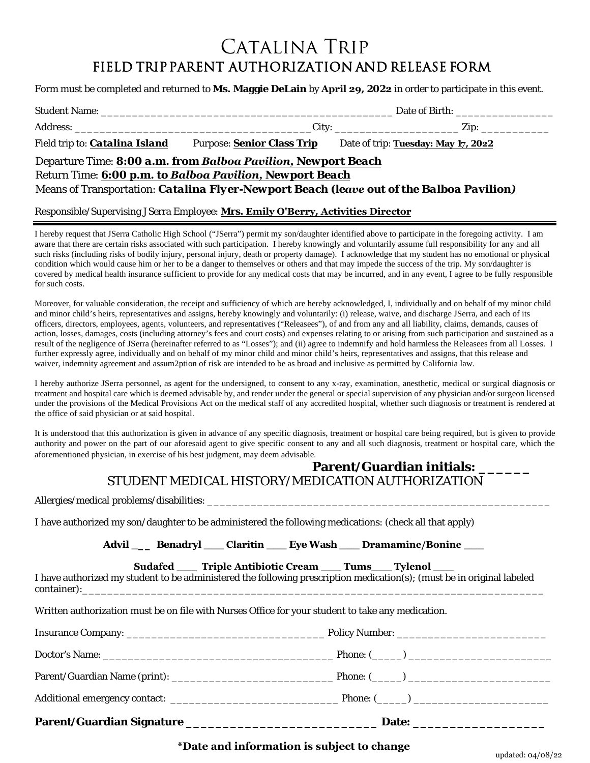# CATALINA TRIP FIELD TRIP PARENT AUTHORIZATION AND RELEASE FORM

Form must be completed and returned to **Ms. Maggie DeLain** by **April 29, 2022** in order to participate in this event.

|                                                                                          | Date of Birth:                    |                                     |  |  |
|------------------------------------------------------------------------------------------|-----------------------------------|-------------------------------------|--|--|
|                                                                                          |                                   |                                     |  |  |
| Field trip to: <i>Catalina Island</i>                                                    | <b>Purpose: Senior Class Trip</b> | Date of trip: Tuesday: May 17, 2022 |  |  |
| Departure Time: 8:00 a.m. from Balboa Pavilion, Newport Beach                            |                                   |                                     |  |  |
| Return Time: 6:00 p.m. to Balboa Pavilion, Newport Beach                                 |                                   |                                     |  |  |
| Means of Transportation: Catalina Flyer-Newport Beach (leave out of the Balboa Pavilion) |                                   |                                     |  |  |

#### Responsible/Supervising JSerra Employee: **Mrs. Emily O'Berry, Activities Director**

I hereby request that JSerra Catholic High School ("JSerra") permit my son/daughter identified above to participate in the foregoing activity. I am aware that there are certain risks associated with such participation. I hereby knowingly and voluntarily assume full responsibility for any and all such risks (including risks of bodily injury, personal injury, death or property damage). I acknowledge that my student has no emotional or physical condition which would cause him or her to be a danger to themselves or others and that may impede the success of the trip. My son/daughter is covered by medical health insurance sufficient to provide for any medical costs that may be incurred, and in any event, I agree to be fully responsible for such costs.

Moreover, for valuable consideration, the receipt and sufficiency of which are hereby acknowledged, I, individually and on behalf of my minor child and minor child's heirs, representatives and assigns, hereby knowingly and voluntarily: (i) release, waive, and discharge JSerra, and each of its officers, directors, employees, agents, volunteers, and representatives ("Releasees"), of and from any and all liability, claims, demands, causes of action, losses, damages, costs (including attorney's fees and court costs) and expenses relating to or arising from such participation and sustained as a result of the negligence of JSerra (hereinafter referred to as "Losses"); and (ii) agree to indemnify and hold harmless the Releasees from all Losses. I further expressly agree, individually and on behalf of my minor child and minor child's heirs, representatives and assigns, that this release and waiver, indemnity agreement and assum2ption of risk are intended to be as broad and inclusive as permitted by California law.

I hereby authorize JSerra personnel, as agent for the undersigned, to consent to any x-ray, examination, anesthetic, medical or surgical diagnosis or treatment and hospital care which is deemed advisable by, and render under the general or special supervision of any physician and/or surgeon licensed under the provisions of the Medical Provisions Act on the medical staff of any accredited hospital, whether such diagnosis or treatment is rendered at the office of said physician or at said hospital.

It is understood that this authorization is given in advance of any specific diagnosis, treatment or hospital care being required, but is given to provide authority and power on the part of our aforesaid agent to give specific consent to any and all such diagnosis, treatment or hospital care, which the aforementioned physician, in exercise of his best judgment, may deem advisable.

#### **Parent/Guardian initials: \_\_\_\_\_\_** *STUDENT MEDICAL HISTORY/MEDICATION AUTHORIZATION*

Allergies/medical problems/disabilities: \_\_\_\_\_\_\_\_\_\_\_\_\_\_\_\_\_\_\_\_\_\_\_\_\_\_\_\_\_\_\_\_\_\_\_\_\_\_\_\_\_\_\_\_\_\_\_\_\_\_\_\_\_\_\_

I have authorized my son/daughter to be administered the following medications: (check all that apply)

**Advil \_\_\_ Benadryl \_\_\_ Claritin \_\_\_ Eye Wash \_\_\_ Dramamine/Bonine \_\_\_**

**Sudafed \_\_\_ Triple Antibiotic Cream \_\_\_ Tums\_\_\_ Tylenol \_\_\_**

I have authorized my student to be administered the following prescription medication(s); (must be in original labeled  $\text{container}):$ 

Written authorization must be on file with Nurses Office for your student to take any medication.

### **\*Date and information is subject to change**